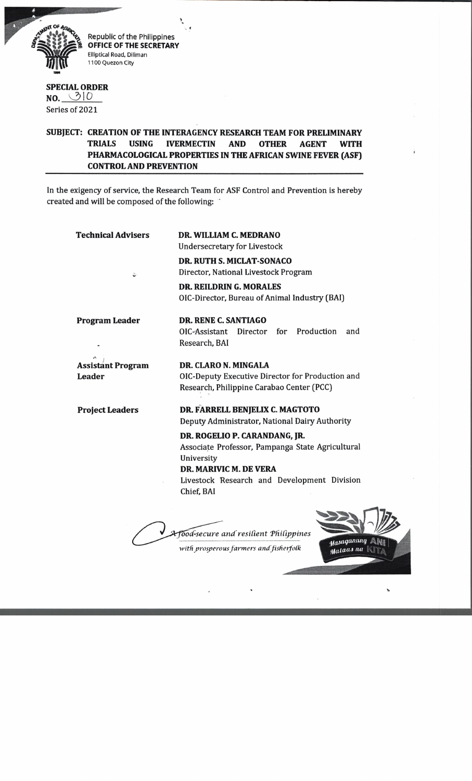

Republic of the Philippines **OFFICE OF THE SECRETARY** Elliptical Road, Diliman 1100 Quezon City

## **SPECIAL ORDER**  $NO. 010$

Series of 2021

## **SUBJECT: CREATION OF THE INTERAGENCY RESEARCH TEAM FOR PRELIMINARY TRIALS USING IVERMECTIN AND OTHER AGENT WITH PHARMACOLOGICAL PROPERTIES IN THE AFRICAN SWINE FEVER (ASF) CONTROL AND PREVENTION**

In the exigency of service, the Research Team for ASF Control and Prevention is hereby created and will be composed of the following:

| <b>Technical Advisers</b>                 | DR. WILLIAM C. MEDRANO<br><b>Undersecretary for Livestock</b>                                                                                                                          |
|-------------------------------------------|----------------------------------------------------------------------------------------------------------------------------------------------------------------------------------------|
| ٠.                                        | <b>DR. RUTH S. MICLAT-SONACO</b><br>Director, National Livestock Program<br><b>DR. REILDRIN G. MORALES</b>                                                                             |
|                                           | OIC-Director, Bureau of Animal Industry (BAI)                                                                                                                                          |
| <b>Program Leader</b>                     | DR. RENE C. SANTIAGO<br>for Production<br>OIC-Assistant<br>Director<br>and<br>Research, BAI                                                                                            |
| <b>Assistant Program</b><br><b>Leader</b> | DR. CLARO N. MINGALA<br>OIC-Deputy Executive Director for Production and<br>Research, Philippine Carabao Center (PCC)                                                                  |
| <b>Project Leaders</b>                    | DR. FARRELL BENJELIX C. MAGTOTO<br>Deputy Administrator, National Dairy Authority                                                                                                      |
|                                           | DR. ROGELIO P. CARANDANG, JR.<br>Associate Professor, Pampanga State Agricultural<br>University<br>DR. MARIVIC M. DE VERA<br>Livestock Research and Development Division<br>Chief, BAI |
|                                           | Tood-secure and resilient Philippines<br>asaganang<br>with prosperous farmers and fisherfolk<br>Mataas na                                                                              |